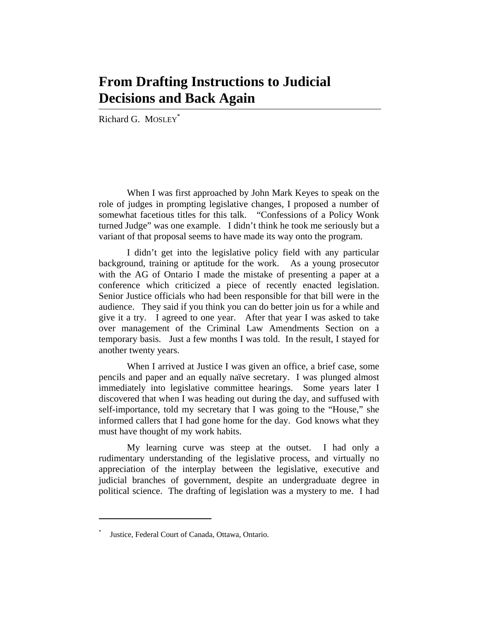## **From Drafting Instructions to Judicial Decisions and Back Again**

Richard G. MOSLEY<sup>\*</sup>

When I was first approached by John Mark Keyes to speak on the role of judges in prompting legislative changes, I proposed a number of somewhat facetious titles for this talk. "Confessions of a Policy Wonk turned Judge" was one example. I didn't think he took me seriously but a variant of that proposal seems to have made its way onto the program.

I didn't get into the legislative policy field with any particular background, training or aptitude for the work. As a young prosecutor with the AG of Ontario I made the mistake of presenting a paper at a conference which criticized a piece of recently enacted legislation. Senior Justice officials who had been responsible for that bill were in the audience. They said if you think you can do better join us for a while and give it a try. I agreed to one year. After that year I was asked to take over management of the Criminal Law Amendments Section on a temporary basis. Just a few months I was told. In the result, I stayed for another twenty years.

When I arrived at Justice I was given an office, a brief case, some pencils and paper and an equally naïve secretary. I was plunged almost immediately into legislative committee hearings. Some years later I discovered that when I was heading out during the day, and suffused with self-importance, told my secretary that I was going to the "House," she informed callers that I had gone home for the day. God knows what they must have thought of my work habits.

My learning curve was steep at the outset. I had only a rudimentary understanding of the legislative process, and virtually no appreciation of the interplay between the legislative, executive and judicial branches of government, despite an undergraduate degree in political science. The drafting of legislation was a mystery to me. I had

<sup>\*</sup> Justice, Federal Court of Canada, Ottawa, Ontario.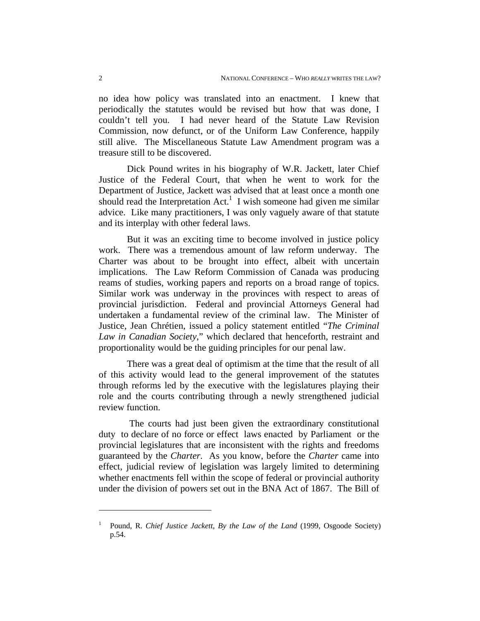no idea how policy was translated into an enactment. I knew that periodically the statutes would be revised but how that was done, I couldn't tell you. I had never heard of the Statute Law Revision Commission, now defunct, or of the Uniform Law Conference, happily still alive. The Miscellaneous Statute Law Amendment program was a treasure still to be discovered.

Dick Pound writes in his biography of W.R. Jackett, later Chief Justice of the Federal Court, that when he went to work for the Department of Justice, Jackett was advised that at least once a month one should read the Interpretation  $Act<sup>1</sup>$  I wish someone had given me similar advice. Like many practitioners, I was only vaguely aware of that statute and its interplay with other federal laws.

But it was an exciting time to become involved in justice policy work. There was a tremendous amount of law reform underway. The Charter was about to be brought into effect, albeit with uncertain implications. The Law Reform Commission of Canada was producing reams of studies, working papers and reports on a broad range of topics. Similar work was underway in the provinces with respect to areas of provincial jurisdiction. Federal and provincial Attorneys General had undertaken a fundamental review of the criminal law. The Minister of Justice, Jean Chrétien, issued a policy statement entitled "*The Criminal Law in Canadian Society*," which declared that henceforth, restraint and proportionality would be the guiding principles for our penal law.

There was a great deal of optimism at the time that the result of all of this activity would lead to the general improvement of the statutes through reforms led by the executive with the legislatures playing their role and the courts contributing through a newly strengthened judicial review function.

 The courts had just been given the extraordinary constitutional duty to declare of no force or effect laws enacted by Parliament or the provincial legislatures that are inconsistent with the rights and freedoms guaranteed by the *Charter*. As you know, before the *Charter* came into effect, judicial review of legislation was largely limited to determining whether enactments fell within the scope of federal or provincial authority under the division of powers set out in the BNA Act of 1867. The Bill of

<sup>&</sup>lt;sup>1</sup> Pound, R. *Chief Justice Jackett, By the Law of the Land* (1999, Osgoode Society) p.54.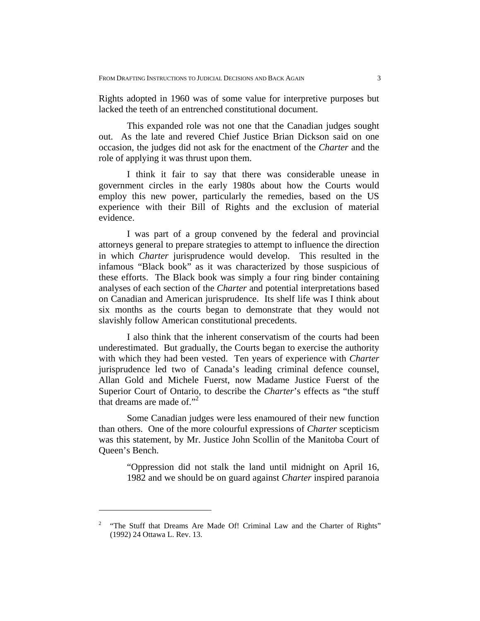Rights adopted in 1960 was of some value for interpretive purposes but lacked the teeth of an entrenched constitutional document.

This expanded role was not one that the Canadian judges sought out. As the late and revered Chief Justice Brian Dickson said on one occasion, the judges did not ask for the enactment of the *Charter* and the role of applying it was thrust upon them.

I think it fair to say that there was considerable unease in government circles in the early 1980s about how the Courts would employ this new power, particularly the remedies, based on the US experience with their Bill of Rights and the exclusion of material evidence.

I was part of a group convened by the federal and provincial attorneys general to prepare strategies to attempt to influence the direction in which *Charter* jurisprudence would develop. This resulted in the infamous "Black book" as it was characterized by those suspicious of these efforts. The Black book was simply a four ring binder containing analyses of each section of the *Charter* and potential interpretations based on Canadian and American jurisprudence. Its shelf life was I think about six months as the courts began to demonstrate that they would not slavishly follow American constitutional precedents.

I also think that the inherent conservatism of the courts had been underestimated. But gradually, the Courts began to exercise the authority with which they had been vested. Ten years of experience with *Charter* jurisprudence led two of Canada's leading criminal defence counsel, Allan Gold and Michele Fuerst, now Madame Justice Fuerst of the Superior Court of Ontario, to describe the *Charter*'s effects as "the stuff that dreams are made of."<sup>2</sup>

Some Canadian judges were less enamoured of their new function than others. One of the more colourful expressions of *Charter* scepticism was this statement, by Mr. Justice John Scollin of the Manitoba Court of Queen's Bench.

"Oppression did not stalk the land until midnight on April 16, 1982 and we should be on guard against *Charter* inspired paranoia

<sup>&</sup>lt;sup>2</sup> "The Stuff that Dreams Are Made Of! Criminal Law and the Charter of Rights" (1992) 24 Ottawa L. Rev. 13.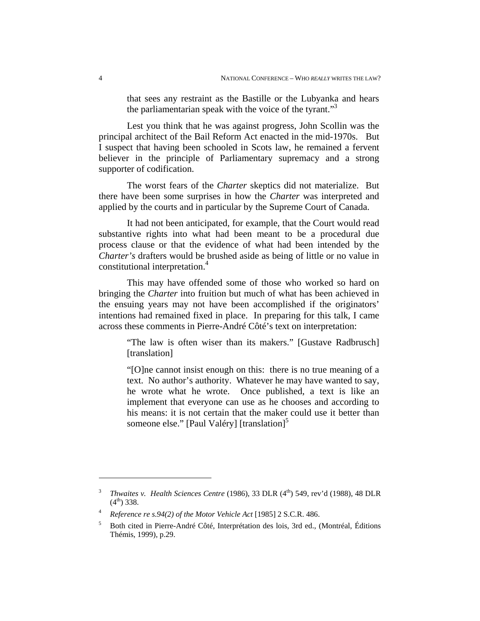that sees any restraint as the Bastille or the Lubyanka and hears the parliamentarian speak with the voice of the tyrant."<sup>3</sup>

Lest you think that he was against progress, John Scollin was the principal architect of the Bail Reform Act enacted in the mid-1970s. But I suspect that having been schooled in Scots law, he remained a fervent believer in the principle of Parliamentary supremacy and a strong supporter of codification.

The worst fears of the *Charter* skeptics did not materialize. But there have been some surprises in how the *Charter* was interpreted and applied by the courts and in particular by the Supreme Court of Canada.

It had not been anticipated, for example, that the Court would read substantive rights into what had been meant to be a procedural due process clause or that the evidence of what had been intended by the *Charter's* drafters would be brushed aside as being of little or no value in constitutional interpretation.<sup>4</sup>

This may have offended some of those who worked so hard on bringing the *Charter* into fruition but much of what has been achieved in the ensuing years may not have been accomplished if the originators' intentions had remained fixed in place. In preparing for this talk, I came across these comments in Pierre-André Côté's text on interpretation:

"The law is often wiser than its makers." [Gustave Radbrusch] [translation]

"[O]ne cannot insist enough on this: there is no true meaning of a text. No author's authority. Whatever he may have wanted to say, he wrote what he wrote. Once published, a text is like an implement that everyone can use as he chooses and according to his means: it is not certain that the maker could use it better than someone else." [Paul Valéry] [translation] $<sup>5</sup>$ </sup>

<sup>&</sup>lt;sup>3</sup> *Thwaites v. Health Sciences Centre* (1986), 33 DLR (4<sup>th</sup>) 549, rev'd (1988), 48 DLR  $(4^{th})$  338.

<sup>4</sup> *Reference re s.94(2) of the Motor Vehicle Act* [1985] 2 S.C.R. 486.

<sup>5</sup> Both cited in Pierre-André Côté, Interprétation des lois, 3rd ed., (Montréal, Éditions Thémis, 1999), p.29.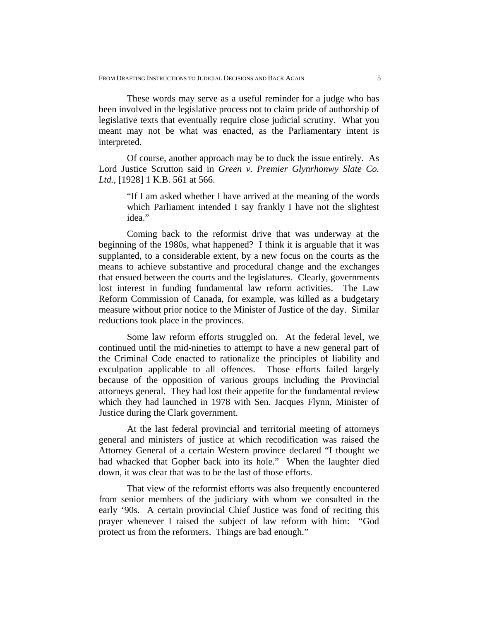These words may serve as a useful reminder for a judge who has been involved in the legislative process not to claim pride of authorship of legislative texts that eventually require close judicial scrutiny. What you meant may not be what was enacted, as the Parliamentary intent is interpreted.

Of course, another approach may be to duck the issue entirely. As Lord Justice Scrutton said in *Green v. Premier Glynrhonwy Slate Co. Ltd.,* [1928] 1 K.B. 561 at 566.

> "If I am asked whether I have arrived at the meaning of the words which Parliament intended I say frankly I have not the slightest idea."

Coming back to the reformist drive that was underway at the beginning of the 1980s, what happened? I think it is arguable that it was supplanted, to a considerable extent, by a new focus on the courts as the means to achieve substantive and procedural change and the exchanges that ensued between the courts and the legislatures. Clearly, governments lost interest in funding fundamental law reform activities. The Law Reform Commission of Canada, for example, was killed as a budgetary measure without prior notice to the Minister of Justice of the day. Similar reductions took place in the provinces.

Some law reform efforts struggled on. At the federal level, we continued until the mid-nineties to attempt to have a new general part of the Criminal Code enacted to rationalize the principles of liability and exculpation applicable to all offences. Those efforts failed largely because of the opposition of various groups including the Provincial attorneys general. They had lost their appetite for the fundamental review which they had launched in 1978 with Sen. Jacques Flynn, Minister of Justice during the Clark government.

At the last federal provincial and territorial meeting of attorneys general and ministers of justice at which recodification was raised the Attorney General of a certain Western province declared "I thought we had whacked that Gopher back into its hole." When the laughter died down, it was clear that was to be the last of those efforts.

That view of the reformist efforts was also frequently encountered from senior members of the judiciary with whom we consulted in the early '90s. A certain provincial Chief Justice was fond of reciting this prayer whenever I raised the subject of law reform with him: "God protect us from the reformers. Things are bad enough."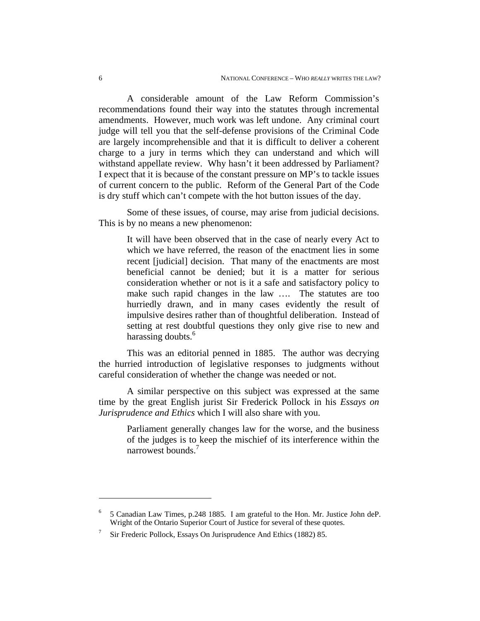A considerable amount of the Law Reform Commission's recommendations found their way into the statutes through incremental amendments. However, much work was left undone. Any criminal court judge will tell you that the self-defense provisions of the Criminal Code are largely incomprehensible and that it is difficult to deliver a coherent charge to a jury in terms which they can understand and which will withstand appellate review. Why hasn't it been addressed by Parliament? I expect that it is because of the constant pressure on MP's to tackle issues of current concern to the public. Reform of the General Part of the Code is dry stuff which can't compete with the hot button issues of the day.

Some of these issues, of course, may arise from judicial decisions. This is by no means a new phenomenon:

It will have been observed that in the case of nearly every Act to which we have referred, the reason of the enactment lies in some recent [judicial] decision. That many of the enactments are most beneficial cannot be denied; but it is a matter for serious consideration whether or not is it a safe and satisfactory policy to make such rapid changes in the law …. The statutes are too hurriedly drawn, and in many cases evidently the result of impulsive desires rather than of thoughtful deliberation. Instead of setting at rest doubtful questions they only give rise to new and harassing doubts.<sup>6</sup>

This was an editorial penned in 1885. The author was decrying the hurried introduction of legislative responses to judgments without careful consideration of whether the change was needed or not.

A similar perspective on this subject was expressed at the same time by the great English jurist Sir Frederick Pollock in his *Essays on Jurisprudence and Ethics* which I will also share with you.

Parliament generally changes law for the worse, and the business of the judges is to keep the mischief of its interference within the narrowest bounds.7

1

<sup>6</sup> 5 Canadian Law Times, p.248 1885. I am grateful to the Hon. Mr. Justice John deP. Wright of the Ontario Superior Court of Justice for several of these quotes.

<sup>7</sup> Sir Frederic Pollock, Essays On Jurisprudence And Ethics (1882) 85.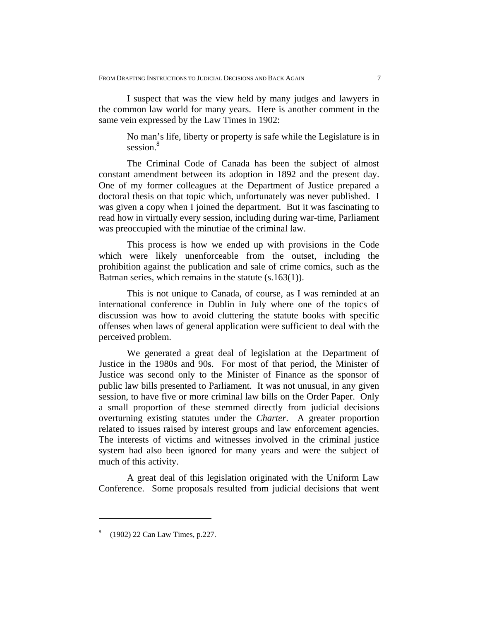I suspect that was the view held by many judges and lawyers in the common law world for many years. Here is another comment in the same vein expressed by the Law Times in 1902:

No man's life, liberty or property is safe while the Legislature is in session.<sup>8</sup>

The Criminal Code of Canada has been the subject of almost constant amendment between its adoption in 1892 and the present day. One of my former colleagues at the Department of Justice prepared a doctoral thesis on that topic which, unfortunately was never published. I was given a copy when I joined the department. But it was fascinating to read how in virtually every session, including during war-time, Parliament was preoccupied with the minutiae of the criminal law.

This process is how we ended up with provisions in the Code which were likely unenforceable from the outset, including the prohibition against the publication and sale of crime comics, such as the Batman series, which remains in the statute (s.163(1)).

This is not unique to Canada, of course, as I was reminded at an international conference in Dublin in July where one of the topics of discussion was how to avoid cluttering the statute books with specific offenses when laws of general application were sufficient to deal with the perceived problem.

We generated a great deal of legislation at the Department of Justice in the 1980s and 90s. For most of that period, the Minister of Justice was second only to the Minister of Finance as the sponsor of public law bills presented to Parliament. It was not unusual, in any given session, to have five or more criminal law bills on the Order Paper. Only a small proportion of these stemmed directly from judicial decisions overturning existing statutes under the *Charter*. A greater proportion related to issues raised by interest groups and law enforcement agencies. The interests of victims and witnesses involved in the criminal justice system had also been ignored for many years and were the subject of much of this activity.

A great deal of this legislation originated with the Uniform Law Conference. Some proposals resulted from judicial decisions that went

<sup>&</sup>lt;sup>8</sup> (1902) 22 Can Law Times, p.227.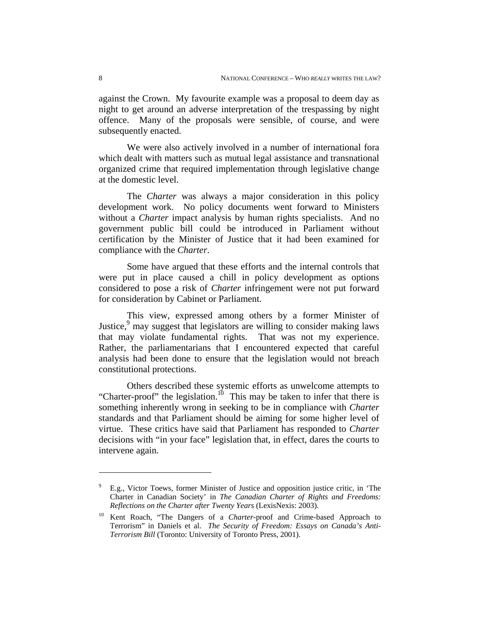against the Crown. My favourite example was a proposal to deem day as night to get around an adverse interpretation of the trespassing by night offence. Many of the proposals were sensible, of course, and were subsequently enacted.

We were also actively involved in a number of international fora which dealt with matters such as mutual legal assistance and transnational organized crime that required implementation through legislative change at the domestic level.

The *Charter* was always a major consideration in this policy development work. No policy documents went forward to Ministers without a *Charter* impact analysis by human rights specialists. And no government public bill could be introduced in Parliament without certification by the Minister of Justice that it had been examined for compliance with the *Charter*.

Some have argued that these efforts and the internal controls that were put in place caused a chill in policy development as options considered to pose a risk of *Charter* infringement were not put forward for consideration by Cabinet or Parliament.

This view, expressed among others by a former Minister of Justice,<sup>9</sup> may suggest that legislators are willing to consider making laws that may violate fundamental rights. That was not my experience. Rather, the parliamentarians that I encountered expected that careful analysis had been done to ensure that the legislation would not breach constitutional protections.

Others described these systemic efforts as unwelcome attempts to "Charter-proof" the legislation.<sup>10</sup> This may be taken to infer that there is something inherently wrong in seeking to be in compliance with *Charter* standards and that Parliament should be aiming for some higher level of virtue. These critics have said that Parliament has responded to *Charter* decisions with "in your face" legislation that, in effect, dares the courts to intervene again.

<sup>9</sup> E.g., Victor Toews, former Minister of Justice and opposition justice critic, in 'The Charter in Canadian Society' in *The Canadian Charter of Rights and Freedoms: Reflections on the Charter after Twenty Years* (LexisNexis: 2003).

<sup>10</sup> Kent Roach, "The Dangers of a *Charter*-proof and Crime-based Approach to Terrorism" in Daniels et al. *The Security of Freedom: Essays on Canada's Anti-Terrorism Bill* (Toronto: University of Toronto Press, 2001).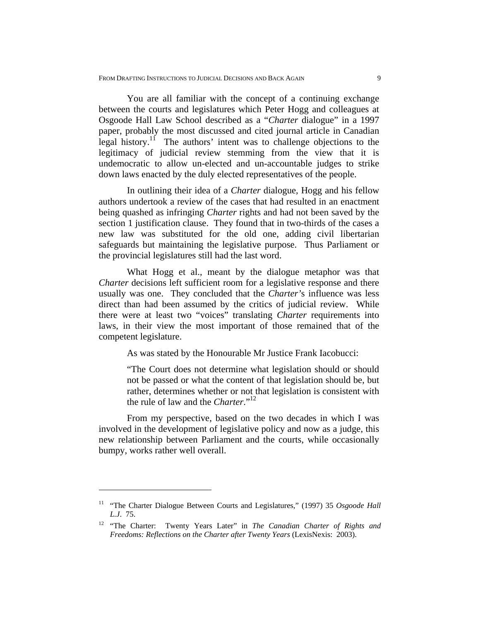You are all familiar with the concept of a continuing exchange between the courts and legislatures which Peter Hogg and colleagues at Osgoode Hall Law School described as a "*Charter* dialogue" in a 1997 paper, probably the most discussed and cited journal article in Canadian legal history.11 The authors' intent was to challenge objections to the legitimacy of judicial review stemming from the view that it is undemocratic to allow un-elected and un-accountable judges to strike down laws enacted by the duly elected representatives of the people.

In outlining their idea of a *Charter* dialogue, Hogg and his fellow authors undertook a review of the cases that had resulted in an enactment being quashed as infringing *Charter* rights and had not been saved by the section 1 justification clause. They found that in two-thirds of the cases a new law was substituted for the old one, adding civil libertarian safeguards but maintaining the legislative purpose. Thus Parliament or the provincial legislatures still had the last word.

What Hogg et al., meant by the dialogue metaphor was that *Charter* decisions left sufficient room for a legislative response and there usually was one. They concluded that the *Charter'*s influence was less direct than had been assumed by the critics of judicial review. While there were at least two "voices" translating *Charter* requirements into laws, in their view the most important of those remained that of the competent legislature.

As was stated by the Honourable Mr Justice Frank Iacobucci:

"The Court does not determine what legislation should or should not be passed or what the content of that legislation should be, but rather, determines whether or not that legislation is consistent with the rule of law and the *Charter*."<sup>12</sup>

From my perspective, based on the two decades in which I was involved in the development of legislative policy and now as a judge, this new relationship between Parliament and the courts, while occasionally bumpy, works rather well overall.

<sup>&</sup>lt;sup>11</sup> "The Charter Dialogue Between Courts and Legislatures," (1997) 35 *Osgoode Hall L.J*. 75.

<sup>12 &</sup>quot;The Charter: Twenty Years Later" in *The Canadian Charter of Rights and Freedoms: Reflections on the Charter after Twenty Years* (LexisNexis: 2003).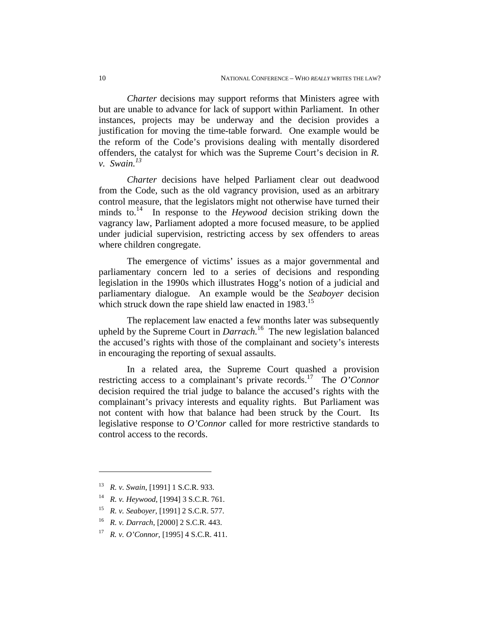*Charter* decisions may support reforms that Ministers agree with but are unable to advance for lack of support within Parliament. In other instances, projects may be underway and the decision provides a justification for moving the time-table forward. One example would be the reform of the Code's provisions dealing with mentally disordered offenders, the catalyst for which was the Supreme Court's decision in *R. v. Swain.13* 

*Charter* decisions have helped Parliament clear out deadwood from the Code, such as the old vagrancy provision, used as an arbitrary control measure, that the legislators might not otherwise have turned their minds to.14 In response to the *Heywood* decision striking down the vagrancy law, Parliament adopted a more focused measure, to be applied under judicial supervision, restricting access by sex offenders to areas where children congregate.

The emergence of victims' issues as a major governmental and parliamentary concern led to a series of decisions and responding legislation in the 1990s which illustrates Hogg's notion of a judicial and parliamentary dialogue. An example would be the *Seaboyer* decision which struck down the rape shield law enacted in 1983.<sup>15</sup>

The replacement law enacted a few months later was subsequently upheld by the Supreme Court in *Darrach.*16 The new legislation balanced the accused's rights with those of the complainant and society's interests in encouraging the reporting of sexual assaults.

In a related area, the Supreme Court quashed a provision restricting access to a complainant's private records.17 The *O'Connor*  decision required the trial judge to balance the accused's rights with the complainant's privacy interests and equality rights. But Parliament was not content with how that balance had been struck by the Court. Its legislative response to *O'Connor* called for more restrictive standards to control access to the records.

<u>.</u>

- 16 *R. v. Darrach*, [2000] 2 S.C.R. 443.
- 17 *R. v. O'Connor*, [1995] 4 S.C.R. 411.

<sup>13</sup> *R. v. Swain*, [1991] 1 S.C.R. 933.

<sup>14</sup> *R. v. Heywood*, [1994] 3 S.C.R. 761.

<sup>15</sup> *R. v. Seaboyer*, [1991] 2 S.C.R. 577.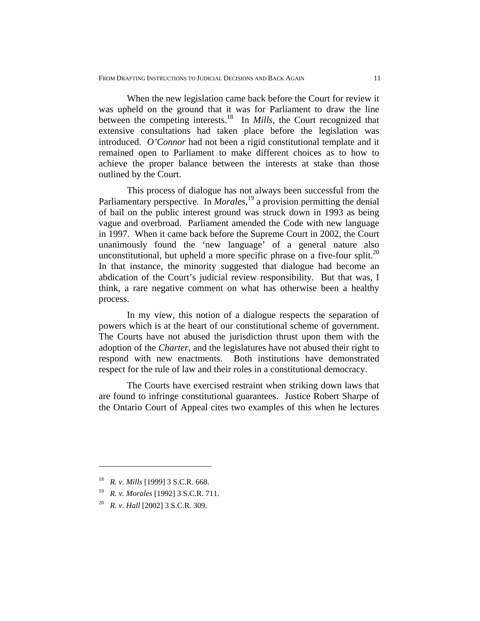When the new legislation came back before the Court for review it was upheld on the ground that it was for Parliament to draw the line between the competing interests.<sup>18</sup> In *Mills*, the Court recognized that extensive consultations had taken place before the legislation was introduced. *O'Connor* had not been a rigid constitutional template and it remained open to Parliament to make different choices as to how to achieve the proper balance between the interests at stake than those outlined by the Court.

This process of dialogue has not always been successful from the Parliamentary perspective. In *Morales*<sup>19</sup> a provision permitting the denial of bail on the public interest ground was struck down in 1993 as being vague and overbroad. Parliament amended the Code with new language in 1997. When it came back before the Supreme Court in 2002, the Court unanimously found the 'new language' of a general nature also unconstitutional, but upheld a more specific phrase on a five-four split.<sup>20</sup> In that instance, the minority suggested that dialogue had become an abdication of the Court's judicial review responsibility. But that was, I think, a rare negative comment on what has otherwise been a healthy process.

In my view, this notion of a dialogue respects the separation of powers which is at the heart of our constitutional scheme of government. The Courts have not abused the jurisdiction thrust upon them with the adoption of the *Charter*, and the legislatures have not abused their right to respond with new enactments. Both institutions have demonstrated respect for the rule of law and their roles in a constitutional democracy.

The Courts have exercised restraint when striking down laws that are found to infringe constitutional guarantees. Justice Robert Sharpe of the Ontario Court of Appeal cites two examples of this when he lectures

<sup>18</sup> *R. v. Mills* [1999] 3 S.C.R. 668.

<sup>19</sup> *R. v. Morales* [1992] 3 S.C.R. 711.

<sup>20</sup> *R. v. Hall* [2002] 3 S.C.R. 309.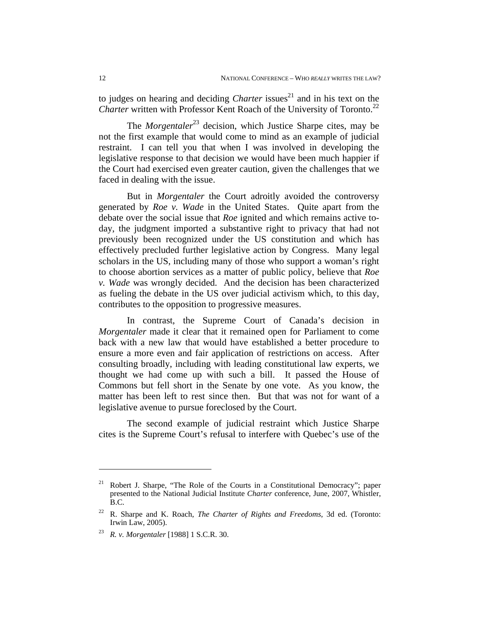to judges on hearing and deciding *Charter* issues<sup>21</sup> and in his text on the *Charter* written with Professor Kent Roach of the University of Toronto.<sup>22</sup>

The *Morgentaler*<sup>23</sup> decision, which Justice Sharpe cites, may be not the first example that would come to mind as an example of judicial restraint. I can tell you that when I was involved in developing the legislative response to that decision we would have been much happier if the Court had exercised even greater caution, given the challenges that we faced in dealing with the issue.

But in *Morgentaler* the Court adroitly avoided the controversy generated by *Roe v. Wade* in the United States. Quite apart from the debate over the social issue that *Roe* ignited and which remains active today, the judgment imported a substantive right to privacy that had not previously been recognized under the US constitution and which has effectively precluded further legislative action by Congress. Many legal scholars in the US, including many of those who support a woman's right to choose abortion services as a matter of public policy, believe that *Roe v. Wade* was wrongly decided. And the decision has been characterized as fueling the debate in the US over judicial activism which, to this day, contributes to the opposition to progressive measures.

In contrast, the Supreme Court of Canada's decision in *Morgentaler* made it clear that it remained open for Parliament to come back with a new law that would have established a better procedure to ensure a more even and fair application of restrictions on access. After consulting broadly, including with leading constitutional law experts, we thought we had come up with such a bill. It passed the House of Commons but fell short in the Senate by one vote. As you know, the matter has been left to rest since then. But that was not for want of a legislative avenue to pursue foreclosed by the Court.

The second example of judicial restraint which Justice Sharpe cites is the Supreme Court's refusal to interfere with Quebec's use of the

<sup>&</sup>lt;sup>21</sup> Robert J. Sharpe, "The Role of the Courts in a Constitutional Democracy"; paper presented to the National Judicial Institute *Charter* conference, June, 2007, Whistler, B.C.

<sup>22</sup> R. Sharpe and K. Roach, *The Charter of Rights and Freedoms*, 3d ed. (Toronto: Irwin Law, 2005).

<sup>23</sup> *R. v. Morgentaler* [1988] 1 S.C.R. 30.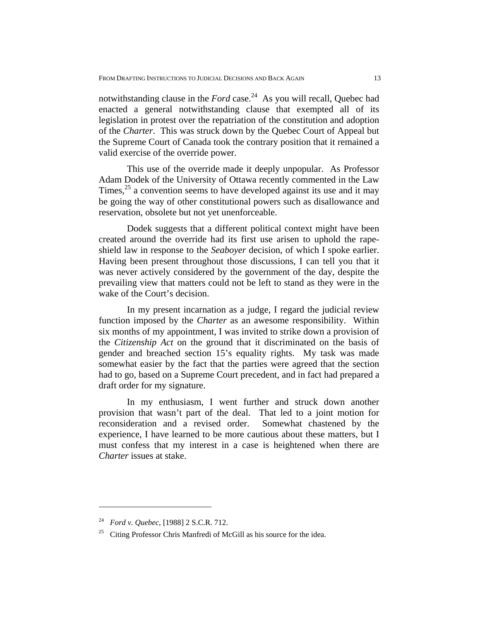notwithstanding clause in the *Ford* case. 24 As you will recall, Quebec had enacted a general notwithstanding clause that exempted all of its legislation in protest over the repatriation of the constitution and adoption of the *Charter*. This was struck down by the Quebec Court of Appeal but the Supreme Court of Canada took the contrary position that it remained a valid exercise of the override power.

This use of the override made it deeply unpopular. As Professor Adam Dodek of the University of Ottawa recently commented in the Law Times,  $2<sup>5</sup>$  a convention seems to have developed against its use and it may be going the way of other constitutional powers such as disallowance and reservation, obsolete but not yet unenforceable.

Dodek suggests that a different political context might have been created around the override had its first use arisen to uphold the rapeshield law in response to the *Seaboyer* decision, of which I spoke earlier. Having been present throughout those discussions, I can tell you that it was never actively considered by the government of the day, despite the prevailing view that matters could not be left to stand as they were in the wake of the Court's decision.

In my present incarnation as a judge, I regard the judicial review function imposed by the *Charter* as an awesome responsibility. Within six months of my appointment, I was invited to strike down a provision of the *Citizenship Act* on the ground that it discriminated on the basis of gender and breached section 15's equality rights. My task was made somewhat easier by the fact that the parties were agreed that the section had to go, based on a Supreme Court precedent, and in fact had prepared a draft order for my signature.

In my enthusiasm, I went further and struck down another provision that wasn't part of the deal. That led to a joint motion for reconsideration and a revised order. Somewhat chastened by the experience, I have learned to be more cautious about these matters, but I must confess that my interest in a case is heightened when there are *Charter* issues at stake.

<sup>24</sup> *Ford v. Quebec*, [1988] 2 S.C.R. 712.

<sup>&</sup>lt;sup>25</sup> Citing Professor Chris Manfredi of McGill as his source for the idea.